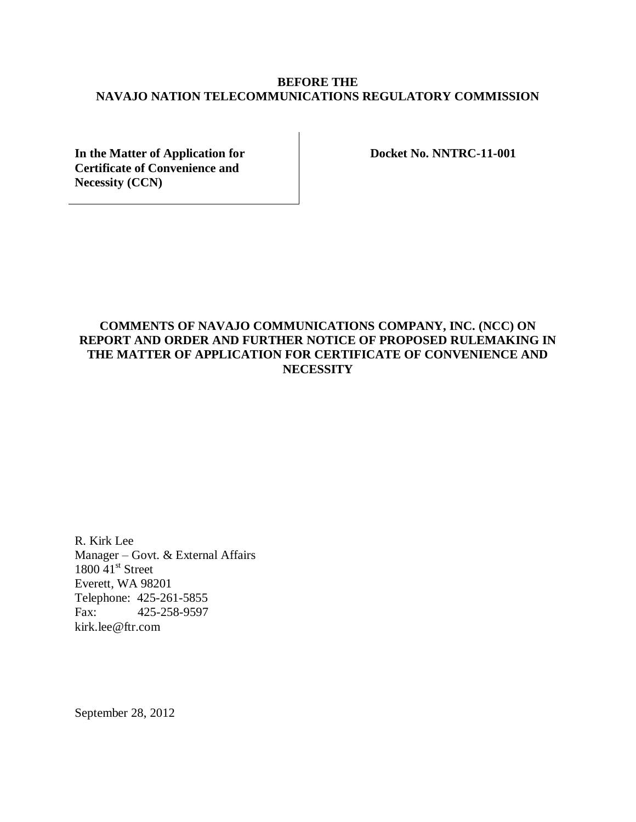# **BEFORE THE NAVAJO NATION TELECOMMUNICATIONS REGULATORY COMMISSION**

**In the Matter of Application for Certificate of Convenience and Necessity (CCN)**

**Docket No. NNTRC-11-001**

# **COMMENTS OF NAVAJO COMMUNICATIONS COMPANY, INC. (NCC) ON REPORT AND ORDER AND FURTHER NOTICE OF PROPOSED RULEMAKING IN THE MATTER OF APPLICATION FOR CERTIFICATE OF CONVENIENCE AND NECESSITY**

R. Kirk Lee Manager – Govt. & External Affairs  $1800$  41st Street Everett, WA 98201 Telephone: 425-261-5855 Fax: 425-258-9597 kirk.lee@ftr.com

September 28, 2012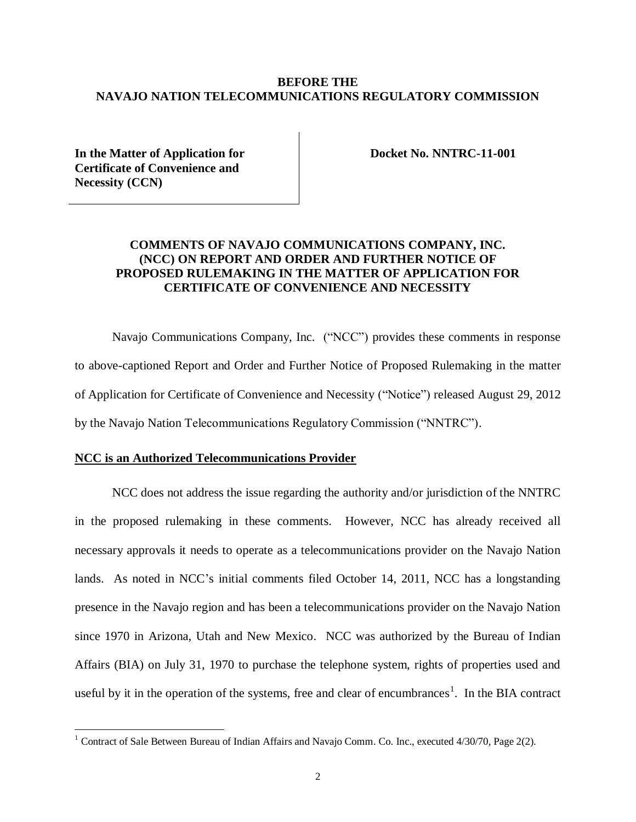### **BEFORE THE NAVAJO NATION TELECOMMUNICATIONS REGULATORY COMMISSION**

**In the Matter of Application for Certificate of Convenience and Necessity (CCN)**

**Docket No. NNTRC-11-001**

# **COMMENTS OF NAVAJO COMMUNICATIONS COMPANY, INC. (NCC) ON REPORT AND ORDER AND FURTHER NOTICE OF PROPOSED RULEMAKING IN THE MATTER OF APPLICATION FOR CERTIFICATE OF CONVENIENCE AND NECESSITY**

Navajo Communications Company, Inc. ("NCC") provides these comments in response to above-captioned Report and Order and Further Notice of Proposed Rulemaking in the matter of Application for Certificate of Convenience and Necessity ("Notice") released August 29, 2012 by the Navajo Nation Telecommunications Regulatory Commission ("NNTRC").

### **NCC is an Authorized Telecommunications Provider**

 $\overline{a}$ 

NCC does not address the issue regarding the authority and/or jurisdiction of the NNTRC in the proposed rulemaking in these comments. However, NCC has already received all necessary approvals it needs to operate as a telecommunications provider on the Navajo Nation lands. As noted in NCC's initial comments filed October 14, 2011, NCC has a longstanding presence in the Navajo region and has been a telecommunications provider on the Navajo Nation since 1970 in Arizona, Utah and New Mexico. NCC was authorized by the Bureau of Indian Affairs (BIA) on July 31, 1970 to purchase the telephone system, rights of properties used and useful by it in the operation of the systems, free and clear of encumbrances<sup>1</sup>. In the BIA contract

<sup>&</sup>lt;sup>1</sup> Contract of Sale Between Bureau of Indian Affairs and Navajo Comm. Co. Inc., executed  $4/30/70$ , Page  $2(2)$ .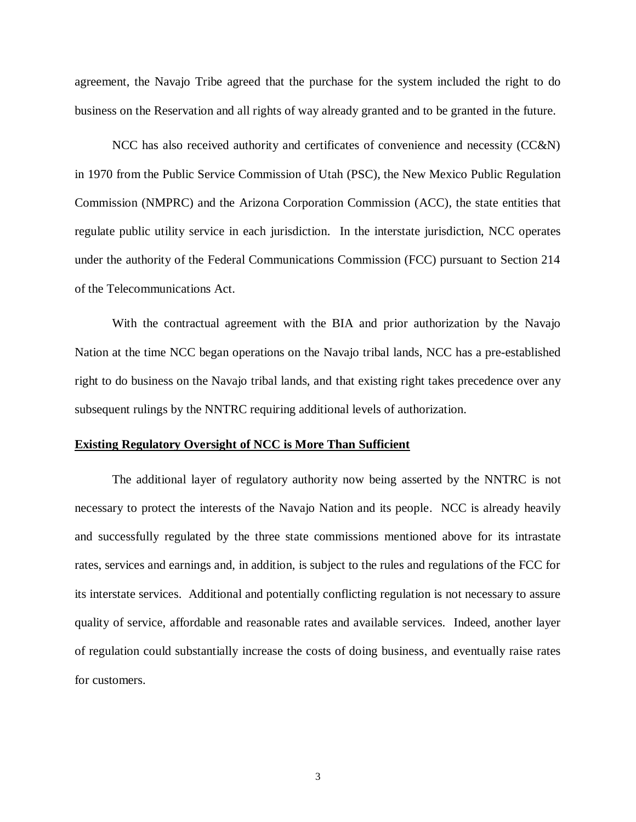agreement, the Navajo Tribe agreed that the purchase for the system included the right to do business on the Reservation and all rights of way already granted and to be granted in the future.

NCC has also received authority and certificates of convenience and necessity (CC&N) in 1970 from the Public Service Commission of Utah (PSC), the New Mexico Public Regulation Commission (NMPRC) and the Arizona Corporation Commission (ACC), the state entities that regulate public utility service in each jurisdiction. In the interstate jurisdiction, NCC operates under the authority of the Federal Communications Commission (FCC) pursuant to Section 214 of the Telecommunications Act.

With the contractual agreement with the BIA and prior authorization by the Navajo Nation at the time NCC began operations on the Navajo tribal lands, NCC has a pre-established right to do business on the Navajo tribal lands, and that existing right takes precedence over any subsequent rulings by the NNTRC requiring additional levels of authorization.

#### **Existing Regulatory Oversight of NCC is More Than Sufficient**

The additional layer of regulatory authority now being asserted by the NNTRC is not necessary to protect the interests of the Navajo Nation and its people. NCC is already heavily and successfully regulated by the three state commissions mentioned above for its intrastate rates, services and earnings and, in addition, is subject to the rules and regulations of the FCC for its interstate services. Additional and potentially conflicting regulation is not necessary to assure quality of service, affordable and reasonable rates and available services. Indeed, another layer of regulation could substantially increase the costs of doing business, and eventually raise rates for customers.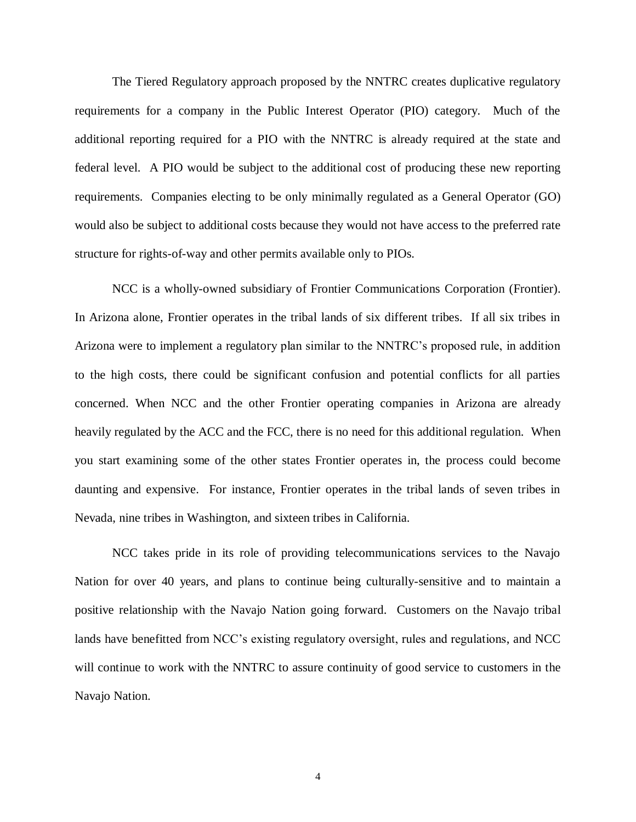The Tiered Regulatory approach proposed by the NNTRC creates duplicative regulatory requirements for a company in the Public Interest Operator (PIO) category. Much of the additional reporting required for a PIO with the NNTRC is already required at the state and federal level. A PIO would be subject to the additional cost of producing these new reporting requirements. Companies electing to be only minimally regulated as a General Operator (GO) would also be subject to additional costs because they would not have access to the preferred rate structure for rights-of-way and other permits available only to PIOs.

NCC is a wholly-owned subsidiary of Frontier Communications Corporation (Frontier). In Arizona alone, Frontier operates in the tribal lands of six different tribes. If all six tribes in Arizona were to implement a regulatory plan similar to the NNTRC's proposed rule, in addition to the high costs, there could be significant confusion and potential conflicts for all parties concerned. When NCC and the other Frontier operating companies in Arizona are already heavily regulated by the ACC and the FCC, there is no need for this additional regulation. When you start examining some of the other states Frontier operates in, the process could become daunting and expensive. For instance, Frontier operates in the tribal lands of seven tribes in Nevada, nine tribes in Washington, and sixteen tribes in California.

NCC takes pride in its role of providing telecommunications services to the Navajo Nation for over 40 years, and plans to continue being culturally-sensitive and to maintain a positive relationship with the Navajo Nation going forward. Customers on the Navajo tribal lands have benefitted from NCC's existing regulatory oversight, rules and regulations, and NCC will continue to work with the NNTRC to assure continuity of good service to customers in the Navajo Nation.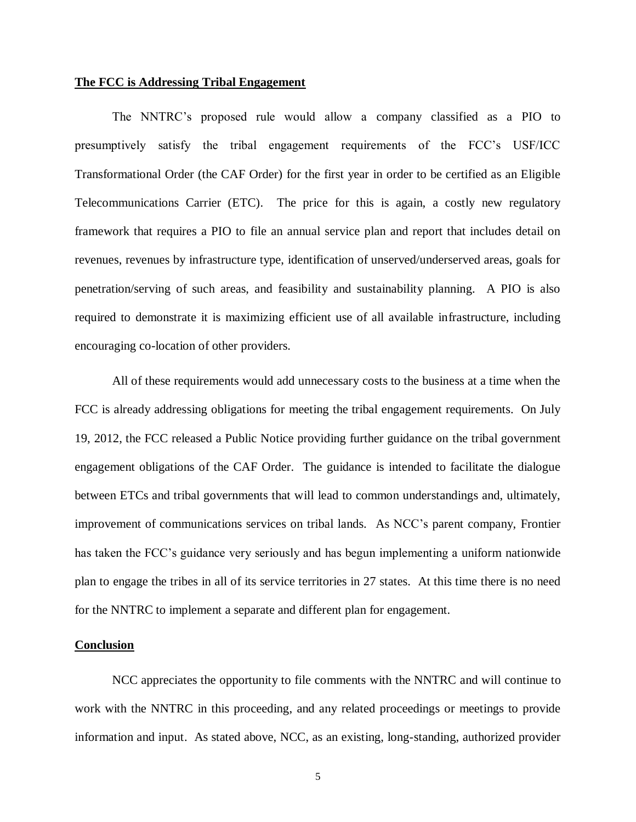#### **The FCC is Addressing Tribal Engagement**

The NNTRC's proposed rule would allow a company classified as a PIO to presumptively satisfy the tribal engagement requirements of the FCC's USF/ICC Transformational Order (the CAF Order) for the first year in order to be certified as an Eligible Telecommunications Carrier (ETC). The price for this is again, a costly new regulatory framework that requires a PIO to file an annual service plan and report that includes detail on revenues, revenues by infrastructure type, identification of unserved/underserved areas, goals for penetration/serving of such areas, and feasibility and sustainability planning. A PIO is also required to demonstrate it is maximizing efficient use of all available infrastructure, including encouraging co-location of other providers.

All of these requirements would add unnecessary costs to the business at a time when the FCC is already addressing obligations for meeting the tribal engagement requirements. On July 19, 2012, the FCC released a Public Notice providing further guidance on the tribal government engagement obligations of the CAF Order. The guidance is intended to facilitate the dialogue between ETCs and tribal governments that will lead to common understandings and, ultimately, improvement of communications services on tribal lands. As NCC's parent company, Frontier has taken the FCC's guidance very seriously and has begun implementing a uniform nationwide plan to engage the tribes in all of its service territories in 27 states. At this time there is no need for the NNTRC to implement a separate and different plan for engagement.

#### **Conclusion**

NCC appreciates the opportunity to file comments with the NNTRC and will continue to work with the NNTRC in this proceeding, and any related proceedings or meetings to provide information and input. As stated above, NCC, as an existing, long-standing, authorized provider